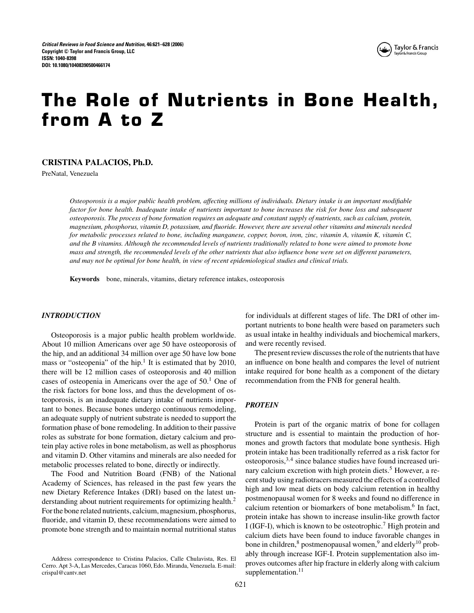

# **The Role of Nutrients in Bone Health, from A to Z**

# **CRISTINA PALACIOS, Ph.D.**

PreNatal, Venezuela

*Osteoporosis is a major public health problem, affecting millions of individuals. Dietary intake is an important modifiable factor for bone health. Inadequate intake of nutrients important to bone increases the risk for bone loss and subsequent osteoporosis. The process of bone formation requires an adequate and constant supply of nutrients, such as calcium, protein, magnesium, phosphorus, vitamin D, potassium, and fluoride. However, there are several other vitamins and minerals needed for metabolic processes related to bone, including manganese, copper, boron, iron, zinc, vitamin A, vitamin K, vitamin C, and the B vitamins. Although the recommended levels of nutrients traditionally related to bone were aimed to promote bone mass and strength, the recommended levels of the other nutrients that also influence bone were set on different parameters, and may not be optimal for bone health, in view of recent epidemiological studies and clinical trials.*

**Keywords** bone, minerals, vitamins, dietary reference intakes, osteoporosis

# *INTRODUCTION*

Osteoporosis is a major public health problem worldwide. About 10 million Americans over age 50 have osteoporosis of the hip, and an additional 34 million over age 50 have low bone mass or "osteopenia" of the hip.<sup>1</sup> It is estimated that by 2010, there will be 12 million cases of osteoporosis and 40 million cases of osteopenia in Americans over the age of  $50<sup>1</sup>$  One of the risk factors for bone loss, and thus the development of osteoporosis, is an inadequate dietary intake of nutrients important to bones. Because bones undergo continuous remodeling, an adequate supply of nutrient substrate is needed to support the formation phase of bone remodeling. In addition to their passive roles as substrate for bone formation, dietary calcium and protein play active roles in bone metabolism, as well as phosphorus and vitamin D. Other vitamins and minerals are also needed for metabolic processes related to bone, directly or indirectly.

The Food and Nutrition Board (FNB) of the National Academy of Sciences, has released in the past few years the new Dietary Reference Intakes (DRI) based on the latest understanding about nutrient requirements for optimizing health.<sup>2</sup> Forthe bone related nutrients, calcium, magnesium, phosphorus, fluoride, and vitamin D, these recommendations were aimed to promote bone strength and to maintain normal nutritional status

for individuals at different stages of life. The DRI of other important nutrients to bone health were based on parameters such as usual intake in healthy individuals and biochemical markers, and were recently revised.

The present review discusses the role of the nutrients that have an influence on bone health and compares the level of nutrient intake required for bone health as a component of the dietary recommendation from the FNB for general health.

# *PROTEIN*

Protein is part of the organic matrix of bone for collagen structure and is essential to maintain the production of hormones and growth factors that modulate bone synthesis. High protein intake has been traditionally referred as a risk factor for osteoporosis,<sup>3</sup>,<sup>4</sup> since balance studies have found increased urinary calcium excretion with high protein diets.<sup>5</sup> However, a recent study using radiotracers measured the effects of a controlled high and low meat diets on body calcium retention in healthy postmenopausal women for 8 weeks and found no difference in calcium retention or biomarkers of bone metabolism.<sup>6</sup> In fact, protein intake has shown to increase insulin-like growth factor I (IGF-I), which is known to be osteotrophic.7 High protein and calcium diets have been found to induce favorable changes in bone in children, $\delta$  postmenopausal women, $\delta$  and elderly<sup>10</sup> probably through increase IGF-I. Protein supplementation also improves outcomes after hip fracture in elderly along with calcium supplementation.<sup>11</sup>

Address correspondence to Cristina Palacios, Calle Chulavista, Res. El Cerro. Apt 3-A, Las Mercedes, Caracas 1060, Edo. Miranda, Venezuela. E-mail: crispal@cantv.net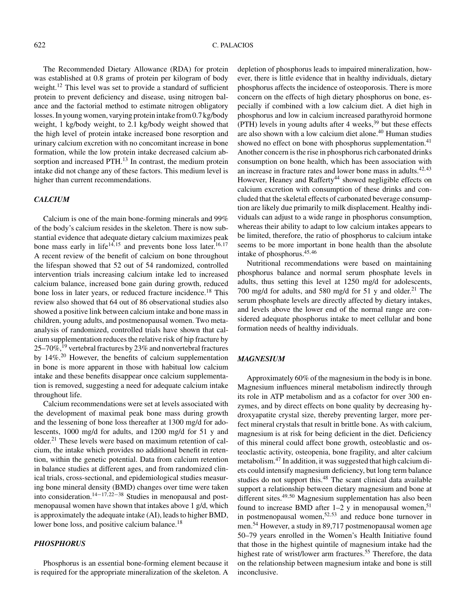The Recommended Dietary Allowance (RDA) for protein was established at 0.8 grams of protein per kilogram of body weight.<sup>12</sup> This level was set to provide a standard of sufficient protein to prevent deficiency and disease, using nitrogen balance and the factorial method to estimate nitrogen obligatory losses. In young women, varying protein intake from 0.7 kg/body weight, 1 kg/body weight, to 2.1 kg/body weight showed that the high level of protein intake increased bone resorption and urinary calcium excretion with no concomitant increase in bone formation, while the low protein intake decreased calcium absorption and increased PTH.<sup>13</sup> In contrast, the medium protein intake did not change any of these factors. This medium level is higher than current recommendations.

#### *CALCIUM*

Calcium is one of the main bone-forming minerals and 99% of the body's calcium resides in the skeleton. There is now substantial evidence that adequate dietary calcium maximizes peak bone mass early in life<sup>14,15</sup> and prevents bone loss later.<sup>16,17</sup> A recent review of the benefit of calcium on bone throughout the lifespan showed that 52 out of 54 randomized, controlled intervention trials increasing calcium intake led to increased calcium balance, increased bone gain during growth, reduced bone loss in later years, or reduced fracture incidence.<sup>18</sup> This review also showed that 64 out of 86 observational studies also showed a positive link between calcium intake and bone mass in children, young adults, and postmenopausal women. Two metaanalysis of randomized, controlled trials have shown that calcium supplementation reduces the relative risk of hip fracture by 25–70%,19 vertebral fractures by 23% and nonvertebral fractures by 14%.20 However, the benefits of calcium supplementation in bone is more apparent in those with habitual low calcium intake and these benefits disappear once calcium supplementation is removed, suggesting a need for adequate calcium intake throughout life.

Calcium recommendations were set at levels associated with the development of maximal peak bone mass during growth and the lessening of bone loss thereafter at 1300 mg/d for adolescents, 1000 mg/d for adults, and 1200 mg/d for 51 y and older.21 These levels were based on maximum retention of calcium, the intake which provides no additional benefit in retention, within the genetic potential. Data from calcium retention in balance studies at different ages, and from randomized clinical trials, cross-sectional, and epidemiological studies measuring bone mineral density (BMD) changes over time were taken into consideration.<sup>14</sup>−17,22−<sup>38</sup> Studies in menopausal and postmenopausal women have shown that intakes above 1 g/d, which is approximately the adequate intake (AI), leads to higher BMD, lower bone loss, and positive calcium balance.<sup>18</sup>

#### *PHOSPHORUS*

Phosphorus is an essential bone-forming element because it is required for the appropriate mineralization of the skeleton. A

depletion of phosphorus leads to impaired mineralization, however, there is little evidence that in healthy individuals, dietary phosphorus affects the incidence of osteoporosis. There is more concern on the effects of high dietary phosphorus on bone, especially if combined with a low calcium diet. A diet high in phosphorus and low in calcium increased parathyroid hormone  $(PTH)$  levels in young adults after 4 weeks,  $39$  but these effects are also shown with a low calcium diet alone.<sup>40</sup> Human studies showed no effect on bone with phosphorus supplementation.<sup>41</sup> Another concern is the rise in phosphorus rich carbonated drinks consumption on bone health, which has been association with an increase in fracture rates and lower bone mass in adults.42,<sup>43</sup> However, Heaney and Rafferty<sup>44</sup> showed negligible effects on calcium excretion with consumption of these drinks and concluded that the skeletal effects of carbonated beverage consumption are likely due primarily to milk displacement. Healthy individuals can adjust to a wide range in phosphorus consumption, whereas their ability to adapt to low calcium intakes appears to be limited, therefore, the ratio of phosphorus to calcium intake seems to be more important in bone health than the absolute intake of phosphorus.45,<sup>46</sup>

Nutritional recommendations were based on maintaining phosphorus balance and normal serum phosphate levels in adults, thus setting this level at 1250 mg/d for adolescents, 700 mg/d for adults, and 580 mg/d for 51 y and older.<sup>21</sup> The serum phosphate levels are directly affected by dietary intakes, and levels above the lower end of the normal range are considered adequate phosphorus intake to meet cellular and bone formation needs of healthy individuals.

# *MAGNESIUM*

Approximately 60% of the magnesium in the body is in bone. Magnesium influences mineral metabolism indirectly through its role in ATP metabolism and as a cofactor for over 300 enzymes, and by direct effects on bone quality by decreasing hydroxyapatite crystal size, thereby preventing larger, more perfect mineral crystals that result in brittle bone. As with calcium, magnesium is at risk for being deficient in the diet. Deficiency of this mineral could affect bone growth, osteoblastic and osteoclastic activity, osteopenia, bone fragility, and alter calcium metabolism.47 In addition, it was suggested that high calcium diets could intensify magnesium deficiency, but long term balance studies do not support this.<sup>48</sup> The scant clinical data available support a relationship between dietary magnesium and bone at different sites.<sup>49,50</sup> Magnesium supplementation has also been found to increase BMD after  $1-2$  y in menopausal women,<sup>51</sup> in postmenopausal women, $52,53$  and reduce bone turnover in men.54 However, a study in 89,717 postmenopausal women age 50–79 years enrolled in the Women's Health Initiative found that those in the highest quintile of magnesium intake had the highest rate of wrist/lower arm fractures.<sup>55</sup> Therefore, the data on the relationship between magnesium intake and bone is still inconclusive.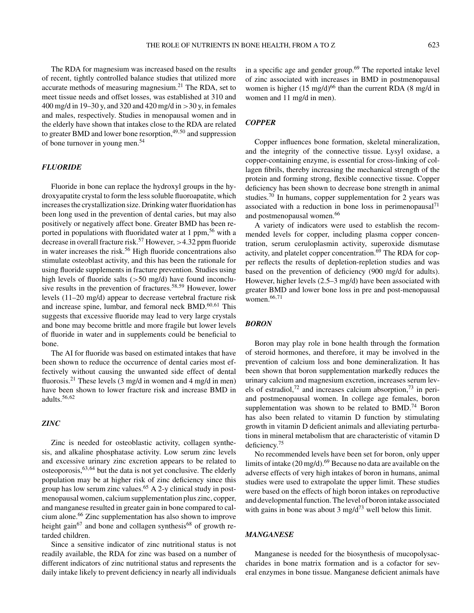The RDA for magnesium was increased based on the results of recent, tightly controlled balance studies that utilized more accurate methods of measuring magnesium.21 The RDA, set to meet tissue needs and offset losses, was established at 310 and 400 mg/d in 19–30 y, and 320 and 420 mg/d in >30 y, in females and males, respectively. Studies in menopausal women and in the elderly have shown that intakes close to the RDA are related to greater BMD and lower bone resorption,  $49,50$  and suppression of bone turnover in young men.54

#### *FLUORIDE*

Fluoride in bone can replace the hydroxyl groups in the hydroxyapatite crystal to form the less soluble fluoroapatite, which increases the crystallization size. Drinking water fluoridation has been long used in the prevention of dental caries, but may also positively or negatively affect bone. Greater BMD has been reported in populations with fluoridated water at 1 ppm,<sup>56</sup> with a decrease in overall fracture risk.<sup>57</sup> However, >4.32 ppm fluoride in water increases the risk.<sup>56</sup> High fluoride concentrations also stimulate osteoblast activity, and this has been the rationale for using fluoride supplements in fracture prevention. Studies using high levels of fluoride salts (>50 mg/d) have found inconclusive results in the prevention of fractures.<sup>58,59</sup> However, lower levels (11–20 mg/d) appear to decrease vertebral fracture risk and increase spine, lumbar, and femoral neck BMD.<sup>60,61</sup> This suggests that excessive fluoride may lead to very large crystals and bone may become brittle and more fragile but lower levels of fluoride in water and in supplements could be beneficial to bone.

The AI for fluoride was based on estimated intakes that have been shown to reduce the occurrence of dental caries most effectively without causing the unwanted side effect of dental fluorosis.<sup>21</sup> These levels (3 mg/d in women and 4 mg/d in men) have been shown to lower fracture risk and increase BMD in adults. $56,62$ 

# *ZINC*

Zinc is needed for osteoblastic activity, collagen synthesis, and alkaline phosphatase activity. Low serum zinc levels and excessive urinary zinc excretion appears to be related to osteoporosis, <sup>63, 64</sup> but the data is not yet conclusive. The elderly population may be at higher risk of zinc deficiency since this group has low serum zinc values.<sup>65</sup> A 2-y clinical study in postmenopausal women, calcium supplementation plus zinc, copper, and manganese resulted in greater gain in bone compared to calcium alone.66 Zinc supplementation has also shown to improve height gain<sup>67</sup> and bone and collagen synthesis<sup>68</sup> of growth retarded children.

Since a sensitive indicator of zinc nutritional status is not readily available, the RDA for zinc was based on a number of different indicators of zinc nutritional status and represents the daily intake likely to prevent deficiency in nearly all individuals in a specific age and gender group.<sup>69</sup> The reported intake level of zinc associated with increases in BMD in postmenopausal women is higher  $(15 \text{ mg/d})^{66}$  than the current RDA (8 mg/d in women and 11 mg/d in men).

# *COPPER*

Copper influences bone formation, skeletal mineralization, and the integrity of the connective tissue. Lysyl oxidase, a copper-containing enzyme, is essential for cross-linking of collagen fibrils, thereby increasing the mechanical strength of the protein and forming strong, flexible connective tissue. Copper deficiency has been shown to decrease bone strength in animal studies.<sup>70</sup> In humans, copper supplementation for 2 years was associated with a reduction in bone loss in perimenopausal<sup>71</sup> and postmenopausal women.<sup>66</sup>

A variety of indicators were used to establish the recommended levels for copper, including plasma copper concentration, serum ceruloplasmin activity, superoxide dismutase activity, and platelet copper concentration. $69$  The RDA for copper reflects the results of depletion-repletion studies and was based on the prevention of deficiency (900 mg/d for adults). However, higher levels (2.5–3 mg/d) have been associated with greater BMD and lower bone loss in pre and post-menopausal women.66,<sup>71</sup>

# *BORON*

Boron may play role in bone health through the formation of steroid hormones, and therefore, it may be involved in the prevention of calcium loss and bone demineralization. It has been shown that boron supplementation markedly reduces the urinary calcium and magnesium excretion, increases serum levels of estradiol, $^{72}$  and increases calcium absorption, $^{73}$  in periand postmenopausal women. In college age females, boron supplementation was shown to be related to BMD.<sup>74</sup> Boron has also been related to vitamin D function by stimulating growth in vitamin D deficient animals and alleviating perturbations in mineral metabolism that are characteristic of vitamin D deficiency.75

No recommended levels have been set for boron, only upper limits of intake  $(20 \text{ mg/d})$ .<sup>69</sup> Because no data are available on the adverse effects of very high intakes of boron in humans, animal studies were used to extrapolate the upper limit. These studies were based on the effects of high boron intakes on reproductive and developmental function. The level of boron intake associated with gains in bone was about 3 mg/ $d^{73}$  well below this limit.

#### *MANGANESE*

Manganese is needed for the biosynthesis of mucopolysaccharides in bone matrix formation and is a cofactor for several enzymes in bone tissue. Manganese deficient animals have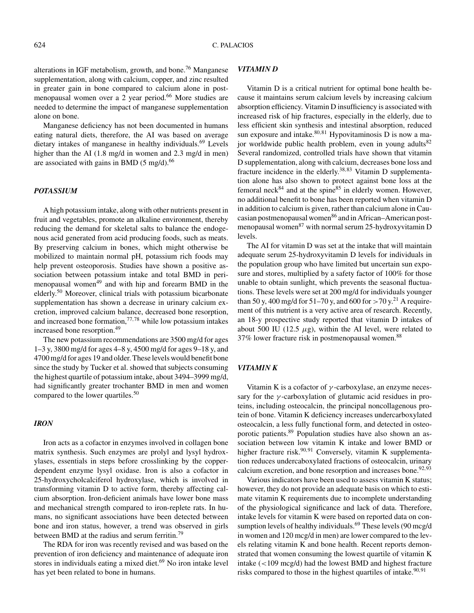alterations in IGF metabolism, growth, and bone.<sup>76</sup> Manganese supplementation, along with calcium, copper, and zinc resulted in greater gain in bone compared to calcium alone in postmenopausal women over a 2 year period.<sup>66</sup> More studies are needed to determine the impact of manganese supplementation alone on bone.

Manganese deficiency has not been documented in humans eating natural diets, therefore, the AI was based on average dietary intakes of manganese in healthy individuals.<sup>69</sup> Levels higher than the AI (1.8 mg/d in women and 2.3 mg/d in men) are associated with gains in BMD  $(5 \text{ mg/d})$ .<sup>66</sup>

# *POTASSIUM*

A high potassium intake, along with other nutrients present in fruit and vegetables, promote an alkaline environment, thereby reducing the demand for skeletal salts to balance the endogenous acid generated from acid producing foods, such as meats. By preserving calcium in bones, which might otherwise be mobilized to maintain normal pH, potassium rich foods may help prevent osteoporosis. Studies have shown a positive association between potassium intake and total BMD in perimenopausal women<sup>49</sup> and with hip and forearm BMD in the elderly.50 Moreover, clinical trials with potassium bicarbonate supplementation has shown a decrease in urinary calcium excretion, improved calcium balance, decreased bone resorption, and increased bone formation, $77,78$  while low potassium intakes increased bone resorption.49

The new potassium recommendations are 3500 mg/d for ages 1–3 y, 3800 mg/d for ages 4–8 y, 4500 mg/d for ages 9–18 y, and 4700 mg/d for ages 19 and older. These levels would benefit bone since the study by Tucker et al. showed that subjects consuming the highest quartile of potassium intake, about 3494–3999 mg/d, had significantly greater trochanter BMD in men and women compared to the lower quartiles.<sup>50</sup>

# *IRON*

Iron acts as a cofactor in enzymes involved in collagen bone matrix synthesis. Such enzymes are prolyl and lysyl hydroxylases, essentials in steps before crosslinking by the copperdependent enzyme lysyl oxidase. Iron is also a cofactor in 25-hydroxycholcalciferol hydroxylase, which is involved in transforming vitamin D to active form, thereby affecting calcium absorption. Iron-deficient animals have lower bone mass and mechanical strength compared to iron-replete rats. In humans, no significant associations have been detected between bone and iron status, however, a trend was observed in girls between BMD at the radius and serum ferritin.<sup>79</sup>

The RDA for iron was recently revised and was based on the prevention of iron deficiency and maintenance of adequate iron stores in individuals eating a mixed diet. $69$  No iron intake level has yet been related to bone in humans.

# *VITAMIN D*

Vitamin D is a critical nutrient for optimal bone health because it maintains serum calcium levels by increasing calcium absorption efficiency. Vitamin D insufficiency is associated with increased risk of hip fractures, especially in the elderly, due to less efficient skin synthesis and intestinal absorption, reduced sun exposure and intake. $80,81$  Hypovitaminosis D is now a major worldwide public health problem, even in young adults<sup>82</sup> Several randomized, controlled trials have shown that vitamin D supplementation, along with calcium, decreases bone loss and fracture incidence in the elderly.38,<sup>83</sup> Vitamin D supplementation alone has also shown to protect against bone loss at the femoral neck<sup>84</sup> and at the spine<sup>85</sup> in elderly women. However, no additional benefit to bone has been reported when vitamin D in addition to calcium is given, rather than calcium alone in Caucasian postmenopausal women<sup>86</sup> and in African–American postmenopausal women<sup>87</sup> with normal serum 25-hydroxyvitamin D levels.

The AI for vitamin D was set at the intake that will maintain adequate serum 25-hydroxyvitamin D levels for individuals in the population group who have limited but uncertain sun exposure and stores, multiplied by a safety factor of 100% for those unable to obtain sunlight, which prevents the seasonal fluctuations. These levels were set at 200 mg/d for individuals younger than 50 y, 400 mg/d for 51–70 y, and 600 for >70 y.<sup>21</sup> A requirement of this nutrient is a very active area of research. Recently, an 18-y prospective study reported that vitamin D intakes of about 500 IU (12.5  $\mu$ g), within the AI level, were related to 37% lower fracture risk in postmenopausal women.<sup>88</sup>

#### *VITAMIN K*

Vitamin K is a cofactor of  $\gamma$ -carboxylase, an enzyme necessary for the  $\gamma$ -carboxylation of glutamic acid residues in proteins, including osteocalcin, the principal noncollagenous protein of bone. Vitamin K deficiency increases undercarboxylated osteocalcin, a less fully functional form, and detected in osteoporotic patients.<sup>89</sup> Population studies have also shown an association between low vitamin K intake and lower BMD or higher fracture risk.<sup>90,91</sup> Conversely, vitamin K supplementation reduces undercaboxylated fractions of osteocalcin, urinary calcium excretion, and bone resorption and increases bone. $92,93$ 

Various indicators have been used to assess vitamin K status; however, they do not provide an adequate basis on which to estimate vitamin K requirements due to incomplete understanding of the physiological significance and lack of data. Therefore, intake levels for vitamin K were based on reported data on consumption levels of healthy individuals.<sup>69</sup> These levels (90 mcg/d) in women and 120 mcg/d in men) are lower compared to the levels relating vitamin K and bone health. Recent reports demonstrated that women consuming the lowest quartile of vitamin K intake  $\left($  <109 mcg/d) had the lowest BMD and highest fracture risks compared to those in the highest quartiles of intake. $90,91$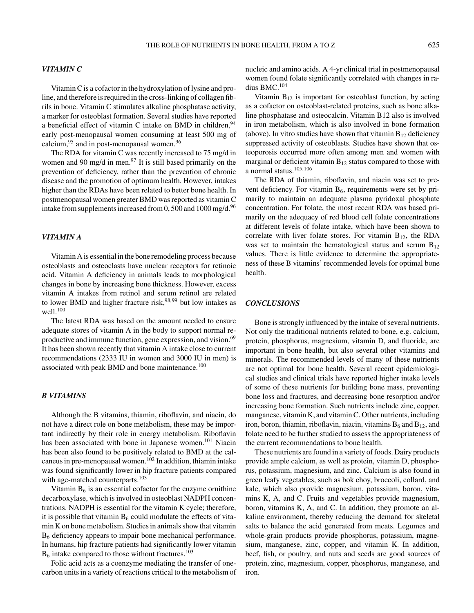#### *VITAMIN C*

Vitamin C is a cofactor in the hydroxylation of lysine and proline, and therefore is required in the cross-linking of collagen fibrils in bone. Vitamin C stimulates alkaline phosphatase activity, a marker for osteoblast formation. Several studies have reported a beneficial effect of vitamin C intake on BMD in children,  $94$ early post-menopausal women consuming at least 500 mg of calcium,  $95$  and in post-menopausal women.  $96$ 

The RDA for vitamin C was recently increased to 75 mg/d in women and 90 mg/d in men. $\frac{97}{7}$  It is still based primarily on the prevention of deficiency, rather than the prevention of chronic disease and the promotion of optimum health. However, intakes higher than the RDAs have been related to better bone health. In postmenopausal women greater BMD was reported as vitamin C intake from supplements increased from  $0,500$  and  $1000$  mg/d.<sup>96</sup>

#### *VITAMIN A*

Vitamin A is essential in the bone remodeling process because osteoblasts and osteoclasts have nuclear receptors for retinoic acid. Vitamin A deficiency in animals leads to morphological changes in bone by increasing bone thickness. However, excess vitamin A intakes from retinol and serum retinol are related to lower BMD and higher fracture risk,<sup>98,99</sup> but low intakes as well.<sup>100</sup>

The latest RDA was based on the amount needed to ensure adequate stores of vitamin A in the body to support normal reproductive and immune function, gene expression, and vision.<sup>69</sup> It has been shown recently that vitamin A intake close to current recommendations (2333 IU in women and 3000 IU in men) is associated with peak BMD and bone maintenance.<sup>100</sup>

# *B VITAMINS*

Although the B vitamins, thiamin, riboflavin, and niacin, do not have a direct role on bone metabolism, these may be important indirectly by their role in energy metabolism. Riboflavin has been associated with bone in Japanese women.<sup>101</sup> Niacin has been also found to be positively related to BMD at the calcaneus in pre-menopausal women.<sup>102</sup> In addition, thiamin intake was found significantly lower in hip fracture patients compared with age-matched counterparts.<sup>103</sup>

Vitamin  $B_6$  is an essential cofactor for the enzyme ornithine decarboxylase, which is involved in osteoblast NADPH concentrations. NADPH is essential for the vitamin K cycle; therefore, it is possible that vitamin  $B_6$  could modulate the effects of vitamin K on bone metabolism. Studies in animals show that vitamin B6 deficiency appears to impair bone mechanical performance. In humans, hip fracture patients had significantly lower vitamin  $B_6$  intake compared to those without fractures.<sup>103</sup>

Folic acid acts as a coenzyme mediating the transfer of onecarbon units in a variety of reactions critical to the metabolism of nucleic and amino acids. A 4-yr clinical trial in postmenopausal women found folate significantly correlated with changes in radius BMC.<sup>104</sup>

Vitamin  $B_{12}$  is important for osteoblast function, by acting as a cofactor on osteoblast-related proteins, such as bone alkaline phosphatase and osteocalcin. Vitamin B12 also is involved in iron metabolism, which is also involved in bone formation (above). In vitro studies have shown that vitamin  $B_{12}$  deficiency suppressed activity of osteoblasts. Studies have shown that osteoporosis occurred more often among men and women with marginal or deficient vitamin  $B_{12}$  status compared to those with a normal status.105,<sup>106</sup>

The RDA of thiamin, riboflavin, and niacin was set to prevent deficiency. For vitamin  $B_6$ , requirements were set by primarily to maintain an adequate plasma pyridoxal phosphate concentration. For folate, the most recent RDA was based primarily on the adequacy of red blood cell folate concentrations at different levels of folate intake, which have been shown to correlate with liver folate stores. For vitamin  $B_{12}$ , the RDA was set to maintain the hematological status and serum  $B_{12}$ values. There is little evidence to determine the appropriateness of these B vitamins' recommended levels for optimal bone health.

## *CONCLUSIONS*

Bone is strongly influenced by the intake of several nutrients. Not only the traditional nutrients related to bone, e.g. calcium, protein, phosphorus, magnesium, vitamin D, and fluoride, are important in bone health, but also several other vitamins and minerals. The recommended levels of many of these nutrients are not optimal for bone health. Several recent epidemiological studies and clinical trials have reported higher intake levels of some of these nutrients for building bone mass, preventing bone loss and fractures, and decreasing bone resorption and/or increasing bone formation. Such nutrients include zinc, copper, manganese, vitamin K, and vitamin C. Other nutrients, including iron, boron, thiamin, riboflavin, niacin, vitamins  $B_6$  and  $B_{12}$ , and folate need to be further studied to assess the appropriateness of the current recommendations to bone health.

These nutrients are found in a variety of foods. Dairy products provide ample calcium, as well as protein, vitamin D, phosphorus, potassium, magnesium, and zinc. Calcium is also found in green leafy vegetables, such as bok choy, broccoli, collard, and kale, which also provide magnesium, potassium, boron, vitamins K, A, and C. Fruits and vegetables provide magnesium, boron, vitamins K, A, and C. In addition, they promote an alkaline environment, thereby reducing the demand for skeletal salts to balance the acid generated from meats. Legumes and whole-grain products provide phosphorus, potassium, magnesium, manganese, zinc, copper, and vitamin K. In addition, beef, fish, or poultry, and nuts and seeds are good sources of protein, zinc, magnesium, copper, phosphorus, manganese, and iron.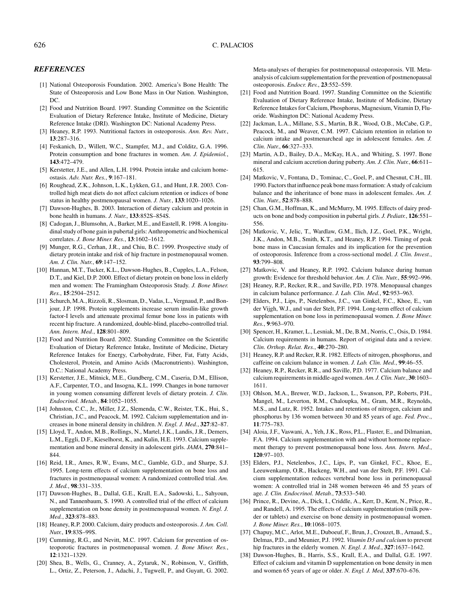# *REFERENCES*

- [1] National Osteoporosis Foundation. 2002. America's Bone Health: The State of Osteoporosis and Low Bone Mass in Our Nation. Washington, DC.
- [2] Food and Nutrition Board. 1997. Standing Committee on the Scientific Evaluation of Dietary Reference Intake, Institute of Medicine, Dietary Reference Intake (DRI). Washington DC: National Academy Press.
- [3] Heaney, R.P. 1993. Nutritional factors in osteoporosis. *Ann. Rev. Nutr.*, **13**:287–316.
- [4] Feskanich, D., Willett, W.C., Stampfer, M.J., and Colditz, G.A. 1996. Protein consumption and bone fractures in women. *Am. J. Epidemiol.*, **143**:472–479.
- [5] Kerstetter, J.E., and Allen, L.H. 1994. Protein intake and calcium homeostasis. *Adv. Nutr. Res.*, **9**:167–181.
- [6] Roughead, Z.K., Johnson, L.K., Lykken, G.I., and Hunt, J.R. 2003. Controlled high meat diets do not affect calcium retention or indices of bone status in healthy postmenopausal women. *J. Nutr.*, **133**:1020–1026.
- [7] Dawson-Hughes, B. 2003. Interaction of dietary calcium and protein in bone health in humans. *J. Nutr.*, **133**:852S–854S.
- [8] Cadogan, J., Blumsohn, A., Barker, M.E., and Eastell, R. 1998. A longitudinal study of bone gain in pubertal girls: Anthropometric and biochemical correlates. *J. Bone Miner. Res.*, **13**:1602–1612.
- [9] Munger, R.G., Cerhan, J.R., and Chiu, B.C. 1999. Prospective study of dietary protein intake and risk of hip fracture in postmenopausal women. *Am. J. Clin. Nutr.*, **69**:147–152.
- [10] Hannan, M.T., Tucker, K.L., Dawson-Hughes, B., Cupples, L.A., Felson, D.T., and Kiel, D.P. 2000. Effect of dietary protein on bone loss in elderly men and women: The Framingham Osteoporosis Study. *J. Bone Miner. Res.*, **15**:2504–2512.
- [11] Schurch, M.A., Rizzoli, R., Slosman, D., Vadas, L., Vergnaud, P., and Bonjour, J.P. 1998. Protein supplements increase serum insulin-like growth factor-I levels and attenuate proximal femur bone loss in patients with recent hip fracture. A randomized, double-blind, placebo-controlled trial. *Ann. Intern. Med.*, **128**:801–809.
- [12] Food and Nutrition Board. 2002. Standing Committee on the Scientific Evaluation of Dietary Reference Intake, Institute of Medicine, Dietary Reference Intakes for Energy, Carbohydrate, Fiber, Fat, Fatty Acids, Cholesterol, Protein, and Amino Acids (Macronutrients). Washington, D.C.: National Academy Press.
- [13] Kerstetter, J.E., Mitnick, M.E., Gundberg, C.M., Caseria, D.M., Ellison, A.F., Carpenter, T.O., and Insogna, K.L. 1999. Changes in bone turnover in young women consuming different levels of dietary protein. *J. Clin. Endocrinol. Metab.*, **84**:1052–1055.
- [14] Johnston, C.C., Jr., Miller, J.Z., Slemenda, C.W., Reister, T.K., Hui, S., Christian, J.C., and Peacock, M. 1992. Calcium supplementation and increases in bone mineral density in children. *N. Engl. J. Med.*, **327**:82–87.
- [15] Lloyd, T., Andon, M.B., Rollings, N., Martel, J.K., Landis, J.R., Demers, L.M., Eggli, D.F., Kieselhorst, K., and Kulin, H.E. 1993. Calcium supplementation and bone mineral density in adolescent girls. *JAMA*, **270**:841– 844.
- [16] Reid, I.R., Ames, R.W., Evans, M.C., Gamble, G.D., and Sharpe, S.J. 1995. Long-term effects of calcium supplementation on bone loss and fractures in postmenopausal women: A randomized controlled trial. *Am. J. Med.*, **98**:331–335.
- [17] Dawson-Hughes, B., Dallal, G.E., Krall, E.A., Sadowski, L., Sahyoun, N., and Tannenbaum, S. 1990. A controlled trial of the effect of calcium supplementation on bone density in postmenopausal women. *N. Engl. J. Med.*, **323**:878–883.
- [18] Heaney, R.P. 2000. Calcium, dairy products and osteoporosis. *J. Am. Coll. Nutr.*, **19**:83S–99S.
- [19] Cumming, R.G., and Nevitt, M.C. 1997. Calcium for prevention of osteoporotic fractures in postmenopausal women. *J. Bone Miner. Res.*, **12**:1321–1329.
- [20] Shea, B., Wells, G., Cranney, A., Zytaruk, N., Robinson, V., Griffith, L., Ortiz, Z., Peterson, J., Adachi, J., Tugwell, P., and Guyatt, G. 2002.

Meta-analyses of therapies for postmenopausal osteoporosis. VII. Metaanalysis of calcium supplementation for the prevention of postmenopausal osteoporosis. *Endocr. Rev.*, **23**:552–559.

- [21] Food and Nutrition Board. 1997. Standing Committee on the Scientific Evaluation of Dietary Reference Intake, Institute of Medicine, Dietary Reference Intakes for Calcium, Phosphorus, Magnesium, Vitamin D, Fluoride. Washington DC: National Academy Press.
- [22] Jackman, L.A., Millane, S.S., Martin, B.R., Wood, O.B., McCabe, G.P., Peacock, M., and Weaver, C.M. 1997. Calcium retention in relation to calcium intake and postmenarcheal age in adolescent females. *Am. J. Clin. Nutr.*, **66**:327–333.
- [23] Martin, A.D., Bailey, D.A., McKay, H.A., and Whiting, S. 1997. Bone mineral and calcium accretion during puberty. *Am. J. Clin. Nutr.*, **66**:611– 615.
- [24] Matkovic, V., Fontana, D., Tominac, C., Goel, P., and Chesnut, C.H., III. 1990. Factors that influence peak bone mass formation: A study of calcium balance and the inheritance of bone mass in adolescent females. *Am. J. Clin. Nutr.*, **52**:878–888.
- [25] Chan, G.M., Hoffman, K., and McMurry, M. 1995. Effects of dairy products on bone and body composition in pubertal girls. *J. Pediatr.*, **126**:551– 556.
- [26] Matkovic, V., Jelic, T., Wardlaw, G.M., Ilich, J.Z., Goel, P.K., Wright, J.K., Andon, M.B., Smith, K.T., and Heaney, R.P. 1994. Timing of peak bone mass in Caucasian females and its implication for the prevention of osteoporosis. Inference from a cross-sectional model. *J. Clin. Invest.*, **93**:799–808.
- [27] Matkovic, V. and Heaney, R.P. 1992. Calcium balance during human growth: Evidence for threshold behavior. *Am. J. Clin. Nutr.*, **55**:992–996.
- [28] Heaney, R.P., Recker, R.R., and Saville, P.D. 1978. Menopausal changes in calcium balance performance. *J. Lab. Clin. Med.*, **92**:953–963.
- [29] Elders, P.J., Lips, P., Netelenbos, J.C., van Ginkel, F.C., Khoe, E., van der Vijgh, W.J., and van der Stelt, P.F. 1994. Long-term effect of calcium supplementation on bone loss in perimenopausal women. *J. Bone Miner. Res.*, **9**:963–970.
- [30] Spencer, H., Kramer, L., Lesniak, M., De, B.M., Norris, C., Osis, D. 1984. Calcium requirements in humans. Report of original data and a review. *Clin. Orthop. Relat. Res.*, **40**:270–280.
- [31] Heaney, R.P. and Recker, R.R. 1982. Effects of nitrogen, phosphorus, and caffeine on calcium balance in women. *J. Lab. Clin. Med.*, **99**:46–55.
- [32] Heaney, R.P., Recker, R.R., and Saville, P.D. 1977. Calcium balance and calcium requirements in middle-aged women. *Am. J. Clin. Nutr.*, **30**:1603– 1611.
- [33] Ohlson, M.A., Brewer, W.D., Jackson, L., Swanson, P.P., Roberts, P.H., Mangel, M., Leverton, R.M., Chaloupka, M., Gram, M.R., Reynolds, M.S., and Lutz, R. 1952. Intakes and retentions of nitrogen, calcium and phosphorus by 136 women between 30 and 85 years of age. *Fed. Proc.*, **11**:775–783.
- [34] Aloia, J.F., Vaswani, A., Yeh, J.K., Ross, P.L., Flaster, E., and Dilmanian, F.A. 1994. Calcium supplementation with and without hormone replacement therapy to prevent postmenopausal bone loss. *Ann. Intern. Med.*, **120**:97–103.
- [35] Elders, P.J., Netelenbos, J.C., Lips, P., van Ginkel, F.C., Khoe, E., Leeuwenkamp, O.R., Hackeng, W.H., and van der Stelt, P.F. 1991. Calcium supplementation reduces vertebral bone loss in perimenopausal women: A controlled trial in 248 women between 46 and 55 years of age. *J. Clin. Endocrinol. Metab.*, **73**:533–540.
- [36] Prince, R., Devine, A., Dick, I., Criddle, A., Kerr, D., Kent, N., Price, R., and Randell, A. 1995. The effects of calcium supplementation (milk powder or tablets) and exercise on bone density in postmenopausal women. *J. Bone Miner. Res.*, **10**:1068–1075.
- [37] Chapuy, M.C., Arlot, M.E., Duboeuf, F., Brun, J., Crouzet, B., Arnaud, S., Delmas, P.D., and Meunier, P.J. 1992. *Vitamin D3 and calcium* to prevent hip fractures in the elderly women. *N. Engl. J. Med.*, **327**:1637–1642.
- [38] Dawson-Hughes, B., Harris, S.S., Krall, E.A., and Dallal, G.E. 1997. Effect of calcium and vitamin D supplementation on bone density in men and women 65 years of age or older. *N. Engl. J. Med*, **337**:670–676.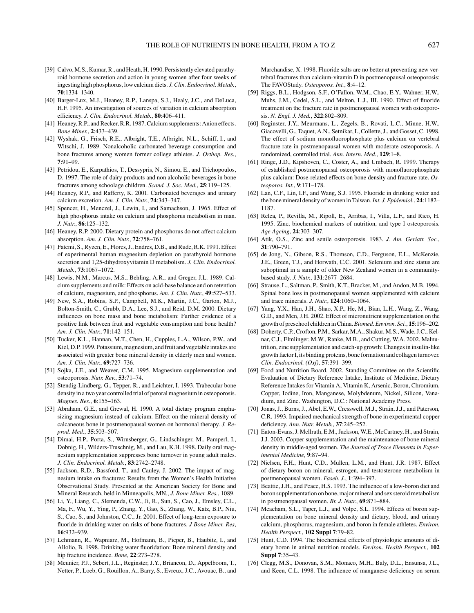- [39] Calvo, M.S., Kumar, R., and Heath, H. 1990. Persistently elevated parathyroid hormone secretion and action in young women after four weeks of ingesting high phosphorus, low calcium diets. *J.Clin. Endocrinol. Metab.*, **70**:1334–1340.
- [40] Barger-Lux, M.J., Heaney, R.P., Lanspa, S.J., Healy, J.C., and DeLuca, H.F. 1995. An investigation of sources of variation in calcium absorption efficiency. *J. Clin. Endocrinol. Metab.*, **80**:406–411.
- [41] Heaney, R.P., and Recker, R.R. 1987. Calcium supplements: Anion effects. *Bone Miner.*, **2**:433–439.
- [42] Wyshak, G., Frisch, R.E., Albright, T.E., Albright, N.L., Schiff, I., and Witschi, J. 1989. Nonalcoholic carbonated beverage consumption and bone fractures among women former college athletes. *J. Orthop. Res.*, **7**:91–99.
- [43] Petridou, E., Karpathios, T., Dessypris, N., Simou, E., and Trichopoulos, D. 1997. The role of dairy products and non alcoholic beverages in bone fractures among schoolage children. *Scand. J. Soc. Med.*, **25**:119–125.
- [44] Heaney, R.P., and Rafferty, K. 2001. Carbonated beverages and urinary calcium excretion. *Am. J. Clin. Nutr.*, **74**:343–347.
- [45] Spencer, H., Menczel, J., Lewin, I., and Samachson, J. 1965. Effect of high phosphorus intake on calcium and phosphorus metabolism in man. *J. Nutr.*, **86**:125–132.
- [46] Heaney, R.P. 2000. Dietary protein and phosphorus do not affect calcium absorption. *Am. J. Clin. Nutr.*, **72**:758–761.
- [47] Fatemi, S., Ryzen, E., Flores, J., Endres, D.B., and Rude, R.K. 1991. Effect of experimental human magnesium depletion on parathyroid hormone secretion and 1,25-dihydroxyvitamin D metabolism. *J. Clin. Endocrinol. Metab.*, **73**:1067–1072.
- [48] Lewis, N.M., Marcus, M.S., Behling, A.R., and Greger, J.L. 1989. Calcium supplements and milk: Effects on acid-base balance and on retention of calcium, magnesium, and phosphorus. *Am. J. Clin. Nutr.*, **49**:527–533.
- [49] New, S.A., Robins, S.P., Campbell, M.K., Martin, J.C., Garton, M.J., Bolton-Smith, C., Grubb, D.A., Lee, S.J., and Reid, D.M. 2000. Dietary influences on bone mass and bone metabolism: Further evidence of a positive link between fruit and vegetable consumption and bone health? *Am. J. Clin. Nutr.*, **71**:142–151.
- [50] Tucker, K.L., Hannan, M.T., Chen, H., Cupples, L.A., Wilson, P.W., and Kiel, D.P. 1999. Potassium, magnesium, and fruit and vegetable intakes are associated with greater bone mineral density in elderly men and women. *Am. J. Clin. Nutr.*, **69**:727–736.
- [51] Sojka, J.E., and Weaver, C.M. 1995. Magnesium supplementation and osteoporosis. *Nutr. Rev.*, **53**:71–74.
- [52] Stendig-Lindberg, G., Tepper, R., and Leichter, I. 1993. Trabecular bone density in a two year controlled trial of peroral magnesium in osteoporosis. *Magnes. Res.*, **6**:155–163.
- [53] Abraham, G.E., and Grewal, H. 1990. A total dietary program emphasizing magnesium instead of calcium. Effect on the mineral density of calcaneous bone in postmenopausal women on hormonal therapy. *J. Reprod. Med.*, **35**:503–507.
- [54] Dimai, H.P., Porta, S., Wirnsberger, G., Lindschinger, M., Pamperl, I., Dobnig, H., Wilders-Truschnig, M., and Lau, K.H. 1998. Daily oral magnesium supplementation suppresses bone turnover in young adult males. *J. Clin. Endocrinol. Metab.*, **83**:2742–2748.
- [55] Jackson, R.D., Bassford, T., and Cauley, J. 2002. The impact of magnesium intake on fractures: Results from the Women's Health Initiative Observational Study. Presented at the American Society for Bone and Mineral Research, held in Minneapolis, MN., *J. Bone Miner. Res.*, 1089.
- [56] Li, Y., Liang, C., Slemenda, C.W., Ji, R., Sun, S., Cao, J., Emsley, C.L., Ma, F., Wu, Y., Ying, P., Zhang, Y., Gao, S., Zhang, W., Katz, B.P., Niu, S., Cao, S., and Johnston, C.C., Jr. 2001. Effect of long-term exposure to fluoride in drinking water on risks of bone fractures. *J Bone Miner. Res*, **16**:932–939.
- [57] Lehmann, R., Wapniarz, M., Hofmann, B., Pieper, B., Haubitz, I., and Allolio, B. 1998. Drinking water fluoridation: Bone mineral density and hip fracture incidence. *Bone*, **22**:273–278.
- [58] Meunier, P.J., Sebert, J.L., Reginster, J.Y., Briancon, D., Appelboom, T., Netter, P., Loeb, G., Rouillon, A., Barry, S., Evreux, J.C., Avouac, B., and

Marchandise, X. 1998. Fluoride salts are no better at preventing new vertebral fractures than calcium-vitamin D in postmenopausal osteoporosis: The FAVOStudy. *Osteoporos. Int.*, **8**:4–12.

- [59] Riggs, B.L., Hodgson, S.F., O'Fallon, W.M., Chao, E.Y., Wahner, H.W., Muhs, J.M., Cedel, S.L., and Melton, L.J., III. 1990. Effect of fluoride treatment on the fracture rate in postmenopausal women with osteoporosis. *N. Engl. J. Med.*, **322**:802–809.
- [60] Reginster, J.Y., Meurmans, L., Zegels, B., Rovati, L.C., Minne, H.W., Giacovelli, G., Taquet, A.N., Setnikar, I., Collette, J., and Gosset, C. 1998. The effect of sodium monofluorophosphate plus calcium on vertebral fracture rate in postmenopausal women with moderate osteoporosis. A randomized, controlled trial. *Ann. Intern. Med.*, **129**:1–8.
- [61] Ringe, J.D., Kipshoven, C., Coster, A., and Umbach, R. 1999. Therapy of established postmenopausal osteoporosis with monofluorophosphate plus calcium: Dose-related effects on bone density and fracture rate. *Osteoporos. Int.*, **9**:171–178.
- [62] Lan, C.F., Lin, I.F., and Wang, S.J. 1995. Fluoride in drinking water and the bone mineral density of women in Taiwan.*Int. J. Epidemiol.*, **24**:1182– 1187.
- [63] Relea, P., Revilla, M., Ripoll, E., Arribas, I., Villa, L.F., and Rico, H. 1995. Zinc, biochemical markers of nutrition, and type I osteoporosis. *Age Ageing*, **24**:303–307.
- [64] Atik, O.S., Zinc and senile osteoporosis. 1983. *J. Am. Geriatr. Soc.*, **31**:790–791.
- [65] de Jong, N., Gibson, R.S., Thomson, C.D., Ferguson, E.L., McKenzie, J.E., Green, T.J., and Horwath, C.C. 2001. Selenium and zinc status are suboptimal in a sample of older New Zealand women in a communitybased study. *J. Nutr.*, **131**:2677–2684.
- [66] Strause, L., Saltman, P., Smith, K.T., Bracker, M., and Andon, M.B. 1994. Spinal bone loss in postmenopausal women supplemented with calcium and trace minerals. *J. Nutr.*, **124**:1060–1064.
- [67] Yang, Y.X., Han, J.H., Shao, X.P., He, M., Bian, L.H., Wang, Z., Wang, G.D., and Men, J.H. 2002. Effect of micronutrient supplementation on the growth of preschool children in China.*Biomed. Environ. Sci.*, **15**:196–202.
- [68] Doherty, C.P., Crofton, P.M., Sarkar, M.A., Shakur, M.S., Wade, J.C., Kelnar, C.J., Elmlinger, M.W., Ranke, M.B., and Cutting, W.A. 2002. Malnutrition, zinc supplementation and catch-up growth: Changes in insulin-like growth factor I, its binding proteins, bone formation and collagen turnover. *Clin. Endocrinol. (Oxf)*, **57**:391–399.
- [69] Food and Nutrition Board. 2002. Standing Committee on the Scientific Evaluation of Dietary Reference Intake, Institute of Medicine, Dietary Reference Intakes for Vitamin A, Vitamin K, Arsenic, Boron, Chromium, Copper, Iodine, Iron, Manganese, Molybdenum, Nickel, Silicon, Vanadium, and Zinc. Washington, D.C.: National Academy Press.
- [70] Jonas, J., Burns, J., Abel, E.W., Cresswell, M.J., Strain, J.J., and Paterson, C.R. 1993. Impaired mechanical strength of bone in experimental copper deficiency. *Ann. Nutr. Metab.*, **37**:245–252.
- [71] Eaton-Evans, J. Mcllrath, E.M., Jackson, W.E., McCartney, H., and Strain, J.J. 2003. Copper supplementation and the maintenance of bone mineral density in middle-aged women. *The Journal of Trace Elements in Experimental Medicine*, **9**:87–94.
- [72] Nielsen, F.H., Hunt, C.D., Mullen, L.M., and Hunt, J.R. 1987. Effect of dietary boron on mineral, estrogen, and testosterone metabolism in postmenopausal women. *Faseb. J.*, **1**:394–397.
- [73] Beattie, J.H., and Peace, H.S. 1993. The influence of a low-boron diet and boron supplementation on bone, major mineral and sex steroid metabolism in postmenopausal women. *Br. J. Nutr.*, **69**:871–884.
- [74] Meacham, S.L., Taper, L.J., and Volpe, S.L. 1994. Effects of boron supplementation on bone mineral density and dietary, blood, and urinary calcium, phosphorus, magnesium, and boron in female athletes. *Environ. Health Perspect.*, **102 Suppl 7**:79–82.
- [75] Hunt, C.D. 1994. The biochemical effects of physiologic amounts of dietary boron in animal nutrition models. *Environ. Health Perspect.*, **102 Suppl 7**:35–43.
- [76] Clegg, M.S., Donovan, S.M., Monaco, M.H., Baly, D.L., Ensunsa, J.L., and Keen, C.L. 1998. The influence of manganese deficiency on serum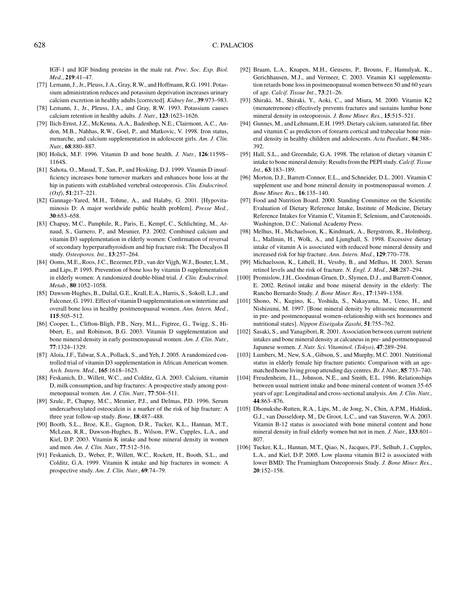IGF-1 and IGF binding proteins in the male rat. *Proc. Soc. Exp. Biol. Med.*, **219**:41–47.

- [77] Lemann, J., Jr., Pleuss, J.A., Gray, R.W., and Hoffmann, R.G. 1991. Potassium administration reduces and potassium deprivation increases urinary calcium excretion in healthy adults [corrected]. *Kidney Int.*, **39**:973–983.
- [78] Lemann, J., Jr., Pleuss, J.A., and Gray, R.W. 1993. Potassium causes calcium retention in healthy adults. *J. Nutr.*, **123**:1623–1626.
- [79] Ilich-Ernst, J.Z., McKenna, A.A., Badenhop, N.E., Clairmont, A.C., Andon, M.B., Nahhas, R.W., Goel, P., and Matkovic, V. 1998. Iron status, menarche, and calcium supplementation in adolescent girls. *Am. J. Clin. Nutr.*, **68**:880–887.
- [80] Holick, M.F. 1996. Vitamin D and bone health. *J. Nutr.*, **126**:1159S– 1164S.
- [81] Sahota, O., Masud, T., San, P., and Hosking, D.J. 1999. Vitamin D insufficiency increases bone turnover markers and enhances bone loss at the hip in patients with established vertebral osteoporosis. *Clin. Endocrinol. (Oxf)*, **51**:217–221.
- [82] Gannage-Yared, M.H., Tohme, A., and Halaby, G. 2001. [Hypovitaminosis D: A major worldwide public health problem]. *Presse Med.*, **30**:653–658.
- [83] Chapuy, M.C., Pamphile, R., Paris, E., Kempf, C., Schlichting, M., Arnaud, S., Garnero, P., and Meunier, P.J. 2002. Combined calcium and vitamin D3 supplementation in elderly women: Confirmation of reversal of secondary hyperparathyroidism and hip fracture risk: The Decalyos II study. *Osteoporos. Int.*, **13**:257–264.
- [84] Ooms, M.E., Roos, J.C., Bezemer, P.D., van der Vijgh, W.J., Bouter, L.M., and Lips, P. 1995. Prevention of bone loss by vitamin D supplementation in elderly women: A randomized double-blind trial. *J. Clin. Endocrinol. Metab.*, **80**:1052–1058.
- [85] Dawson-Hughes, B., Dallal, G.E., Krall, E.A., Harris, S., Sokoll, L.J., and Falconer, G. 1991. Effect of vitamin D supplementation on wintertime and overall bone loss in healthy postmenopausal women. *Ann. Intern. Med.*, **115**:505–512.
- [86] Cooper, L., Clifton-Bligh, P.B., Nery, M.L., Figtree, G., Twigg, S., Hibbert, E., and Robinson, B.G. 2003. Vitamin D supplementation and bone mineral density in early postmenopausal women. *Am. J. Clin. Nutr.*, **77**:1324–1329.
- [87] Aloia, J.F., Talwar, S.A., Pollack, S., and Yeh, J. 2005. A randomized controlled trial of vitamin D3 supplementation in African American women. *Arch. Intern. Med.*, **165**:1618–1623.
- [88] Feskanich, D., Willett, W.C., and Colditz, G.A. 2003. Calcium, vitamin D, milk consumption, and hip fractures: A prospective study among postmenopausal women. *Am. J. Clin. Nutr.*, **77**:504–511.
- [89] Szulc, P., Chapuy, M.C., Meunier, P.J., and Delmas, P.D. 1996. Serum undercarboxylated osteocalcin is a marker of the risk of hip fracture: A three year follow-up study. *Bone*, **18**:487–488.
- [90] Booth, S.L., Broe, K.E., Gagnon, D.R., Tucker, K.L., Hannan, M.T., McLean, R.R., Dawson-Hughes, B., Wilson, P.W., Cupples, L.A., and Kiel, D.P. 2003. Vitamin K intake and bone mineral density in women and men. *Am. J. Clin. Nutr.*, **77**:512–516.
- [91] Feskanich, D., Weber, P., Willett, W.C., Rockett, H., Booth, S.L., and Colditz, G.A. 1999. Vitamin K intake and hip fractures in women: A prospective study. *Am. J. Clin. Nutr.*, **69**:74–79.
- [92] Braam, L.A., Knapen, M.H., Geusens, P., Brouns, F., Hamulyak, K., Gerichhausen, M.J., and Vermeer, C. 2003. Vitamin K1 supplementation retards bone loss in postmenopausal women between 50 and 60 years of age. *Calcif. Tissue Int.*, **73**:21–26.
- [93] Shiraki, M., Shiraki, Y., Aoki, C., and Miura, M. 2000. Vitamin K2 (menatetrenone) effectively prevents fractures and sustains lumbar bone mineral density in osteoporosis. *J. Bone Miner. Res.*, **15**:515–521.
- [94] Gunnes, M., and Lehmann, E.H. 1995. Dietary calcium, saturated fat, fiber and vitamin C as predictors of forearm cortical and trabecular bone mineral density in healthy children and adolescents. *Acta Paediatr.*, **84**:388– 392.
- [95] Hall, S.L., and Greendale, G.A. 1998. The relation of dietary vitamin C intake to bone mineral density: Results from the PEPI study. *Calcif. Tissue Int.*, **63**:183–189.
- [96] Morton, D.J., Barrett-Connor, E.L., and Schneider, D.L. 2001. Vitamin C supplement use and bone mineral density in postmenopausal women. *J. Bone Miner. Res.*, **16**:135–140.
- [97] Food and Nutrition Board. 2000. Standing Committee on the Scientific Evaluation of Dietary Reference Intake, Institute of Medicine, Dietary Reference Intakes for Vitamin C, Vitamin E, Selenium, and Carotenoids. Washington, D.C.: National Academy Press.
- [98] Melhus, H., Michaelsson, K., Kindmark, A., Bergstrom, R., Holmberg, L., Mallmin, H., Wolk, A., and Ljunghall, S. 1998. Excessive dietary intake of vitamin A is associated with reduced bone mineral density and increased risk for hip fracture. *Ann. Intern. Med.*, **129**:770–778.
- [99] Michaelsson, K., Lithell, H., Vessby, B., and Melhus, H. 2003. Serum retinol levels and the risk of fracture. *N. Engl. J. Med.*, **348**:287–294.
- [100] Promislow, J.H., Goodman-Gruen, D., Slymen, D.J., and Barrett-Connor, E. 2002. Retinol intake and bone mineral density in the elderly: The Rancho Bernardo Study. *J. Bone Miner. Res.*, **17**:1349–1358.
- [101] Shono, N., Kugino, K., Yoshida, S., Nakayama, M., Ueno, H., and Nishizumi, M. 1997. [Bone mineral density by ultrasonic measurement in pre- and postmenopausal women–relationship with sex hormones and nutritional states]. *Nippon Eiseigaku Zasshi*, **51**:755–762.
- [102] Sasaki, S., and Yanagibori, R. 2001. Association between current nutrient intakes and bone mineral density at calcaneus in pre- and postmenopausal Japanese women. *J. Nutr. Sci. Vitaminol. (Tokyo)*, **47**:289–294.
- [103] Lumbers, M., New, S.A., Gibson, S., and Murphy, M.C. 2001. Nutritional status in elderly female hip fracture patients: Comparison with an agematched home living group attending day centres.*Br. J. Nutr.*, **85**:733–740.
- [104] Freudenheim, J.L., Johnson, N.E., and Smith, E.L. 1986. Relationships between usual nutrient intake and bone-mineral content of women 35-65 years of age: Longitudinal and cross-sectional analysis. *Am. J. Clin. Nutr.*, **44**:863–876.
- [105] Dhonukshe-Rutten, R.A., Lips, M., de Jong, N., Chin, A.P.M., Hiddink, G.J., van Dusseldorp, M., De Groot, L.C., and van Staveren, W.A. 2003. Vitamin B-12 status is associated with bone mineral content and bone mineral density in frail elderly women but not in men. *J. Nutr.*, **133**:801– 807.
- [106] Tucker, K.L., Hannan, M.T., Qiao, N., Jacques, P.F., Selhub, J., Cupples, L.A., and Kiel, D.P. 2005. Low plasma vitamin B12 is associated with lower BMD: The Framingham Osteoporosis Study. *J. Bone Miner. Res.*, **20**:152–158.